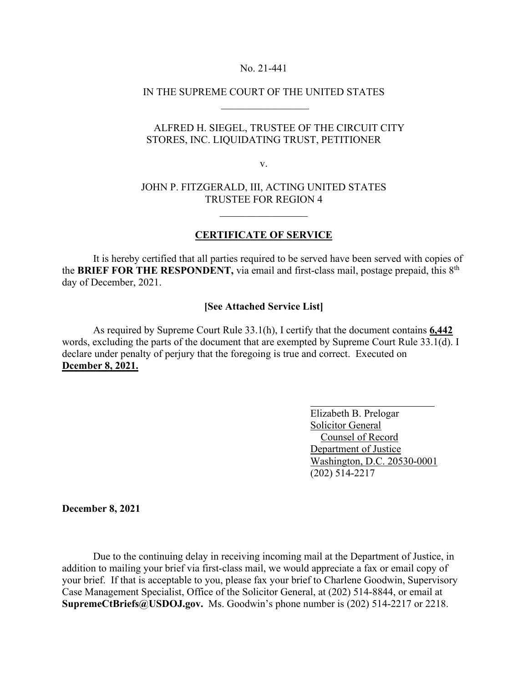#### No. 21-441

# IN THE SUPREME COURT OF THE UNITED STATES  $\frac{1}{2}$  ,  $\frac{1}{2}$  ,  $\frac{1}{2}$  ,  $\frac{1}{2}$  ,  $\frac{1}{2}$  ,  $\frac{1}{2}$  ,  $\frac{1}{2}$  ,  $\frac{1}{2}$  ,  $\frac{1}{2}$  ,  $\frac{1}{2}$

# ALFRED H. SIEGEL, TRUSTEE OF THE CIRCUIT CITY STORES, INC. LIQUIDATING TRUST, PETITIONER

v.

## JOHN P. FITZGERALD, III, ACTING UNITED STATES TRUSTEE FOR REGION 4

### **CERTIFICATE OF SERVICE**

 It is hereby certified that all parties required to be served have been served with copies of the **BRIEF FOR THE RESPONDENT,** via email and first-class mail, postage prepaid, this 8th day of December, 2021.

### **[See Attached Service List]**

 As required by Supreme Court Rule 33.1(h), I certify that the document contains **6,442**  words, excluding the parts of the document that are exempted by Supreme Court Rule 33.1(d). I declare under penalty of perjury that the foregoing is true and correct. Executed on **Dcember 8, 2021.** 

> Elizabeth B. Prelogar Solicitor General Counsel of Record Department of Justice Washington, D.C. 20530-0001 (202) 514-2217

**December 8, 2021**

Due to the continuing delay in receiving incoming mail at the Department of Justice, in addition to mailing your brief via first-class mail, we would appreciate a fax or email copy of your brief. If that is acceptable to you, please fax your brief to Charlene Goodwin, Supervisory Case Management Specialist, Office of the Solicitor General, at (202) 514-8844, or email at **SupremeCtBriefs@USDOJ.gov.** Ms. Goodwin's phone number is (202) 514-2217 or 2218.